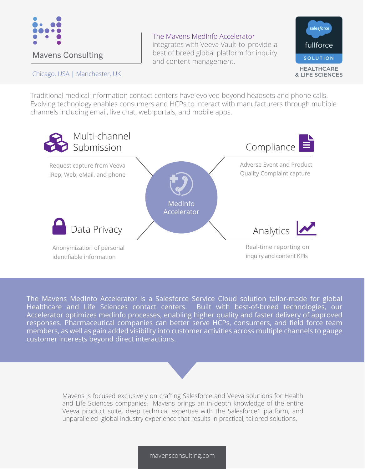

## Chicago, USA | Manchester, UK

The Mavens MedInfo Accelerator integrates with Veeva Vault to provide a best of breed global platform for inquiry



Traditional medical information contact centers have evolved beyond headsets and phone calls. Evolving technology enables consumers and HCPs to interact with manufacturers through multiple channels including email, live chat, web portals, and mobile apps.

and content management.



The Mavens MedInfo Accelerator is a Salesforce Service Cloud solution tailor-made for global Healthcare and Life Sciences contact centers. Built with best-of-breed technologies, our Accelerator optimizes medinfo processes, enabling higher quality and faster delivery of approved responses. Pharmaceutical companies can better serve HCPs, consumers, and field force team members, as well as gain added visibility into customer activities across multiple channels to gauge customer interests beyond direct interactions.

> Mavens is focused exclusively on crafting Salesforce and Veeva solutions for Health and Life Sciences companies. Mavens brings an in-depth knowledge of the entire Veeva product suite, deep technical expertise with the Salesforce1 platform, and unparalleled global industry experience that results in practical, tailored solutions.